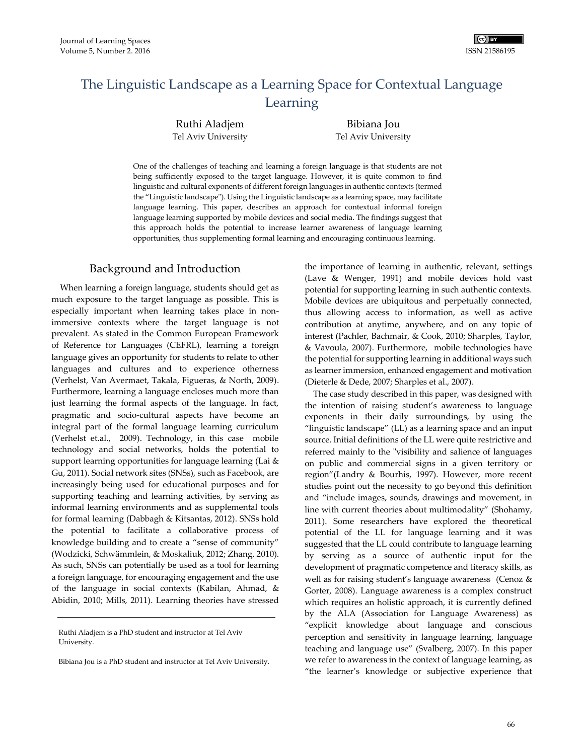# The Linguistic Landscape as a Learning Space for Contextual Language Learning

Ruthi Aladjem Tel Aviv University

Bibiana Jou Tel Aviv University

One of the challenges of teaching and learning a foreign language is that students are not being sufficiently exposed to the target language. However, it is quite common to find linguistic and cultural exponents of different foreign languages in authentic contexts (termed the "Linguistic landscape"). Using the Linguistic landscape as a learning space, may facilitate language learning. This paper, describes an approach for contextual informal foreign language learning supported by mobile devices and social media. The findings suggest that this approach holds the potential to increase learner awareness of language learning opportunities, thus supplementing formal learning and encouraging continuous learning.

## Background and Introduction

When learning a foreign language, students should get as much exposure to the target language as possible. This is especially important when learning takes place in nonimmersive contexts where the target language is not prevalent. As stated in the Common European Framework of Reference for Languages (CEFRL), learning a foreign language gives an opportunity for students to relate to other languages and cultures and to experience otherness (Verhelst, Van Avermaet, Takala, Figueras, & North, 2009). Furthermore, learning a language encloses much more than just learning the formal aspects of the language. In fact, pragmatic and socio-cultural aspects have become an integral part of the formal language learning curriculum (Verhelst et.al., 2009). Technology, in this case mobile technology and social networks, holds the potential to support learning opportunities for language learning (Lai & Gu, 2011). Social network sites (SNSs), such as Facebook, are increasingly being used for educational purposes and for supporting teaching and learning activities, by serving as informal learning environments and as supplemental tools for formal learning (Dabbagh & Kitsantas, 2012). SNSs hold the potential to facilitate a collaborative process of knowledge building and to create a "sense of community" (Wodzicki, Schwämmlein, & Moskaliuk, 2012; Zhang, 2010). As such, SNSs can potentially be used as a tool for learning a foreign language, for encouraging engagement and the use of the language in social contexts (Kabilan, Ahmad, & Abidin, 2010; Mills, 2011). Learning theories have stressed

Ruthi Aladjem is a PhD student and instructor at Tel Aviv University.

Bibiana Jou is a PhD student and instructor at Tel Aviv University.

the importance of learning in authentic, relevant, settings (Lave & Wenger, 1991) and mobile devices hold vast potential for supporting learning in such authentic contexts. Mobile devices are ubiquitous and perpetually connected, thus allowing access to information, as well as active contribution at anytime, anywhere, and on any topic of interest (Pachler, Bachmair, & Cook, 2010; Sharples, Taylor, & Vavoula, 2007). Furthermore, mobile technologies have the potential for supporting learning in additional ways such as learner immersion, enhanced engagement and motivation (Dieterle & Dede, 2007; Sharples et al., 2007).

The case study described in this paper, was designed with the intention of raising student's awareness to language exponents in their daily surroundings, by using the "linguistic landscape" (LL) as a learning space and an input source. Initial definitions of the LL were quite restrictive and referred mainly to the "visibility and salience of languages on public and commercial signs in a given territory or region"(Landry & Bourhis, 1997). However, more recent studies point out the necessity to go beyond this definition and "include images, sounds, drawings and movement, in line with current theories about multimodality" (Shohamy, 2011). Some researchers have explored the theoretical potential of the LL for language learning and it was suggested that the LL could contribute to language learning by serving as a source of authentic input for the development of pragmatic competence and literacy skills, as well as for raising student's language awareness (Cenoz & Gorter, 2008). Language awareness is a complex construct which requires an holistic approach, it is currently defined by the ALA (Association for Language Awareness) as "explicit knowledge about language and conscious perception and sensitivity in language learning, language teaching and language use" (Svalberg, 2007). In this paper we refer to awareness in the context of language learning, as "the learner's knowledge or subjective experience that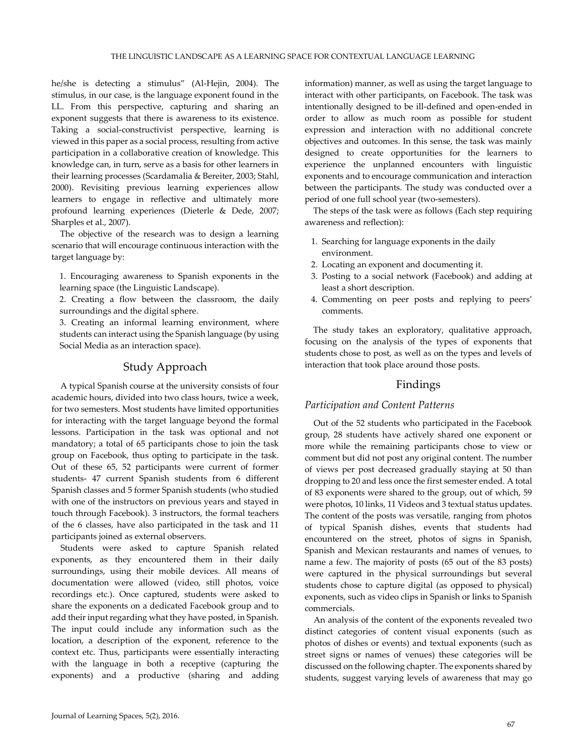he/she is detecting a stimulus" (Al-Hejin, 2004). The stimulus, in our case, is the language exponent found in the LL. From this perspective, capturing and sharing an exponent suggests that there is awareness to its existence. Taking a social-constructivist perspective, learning is viewed in this paper as a social process, resulting from active participation in a collaborative creation of knowledge. This knowledge can, in turn, serve as a basis for other learners in their learning processes (Scardamalia & Bereiter, 2003; Stahl, 2000). Revisiting previous learning experiences allow learners to engage in reflective and ultimately more profound learning experiences (Dieterle & Dede, 2007; Sharples et al., 2007).

The objective of the research was to design a learning scenario that will encourage continuous interaction with the target language by:

1. Encouraging awareness to Spanish exponents in the learning space (the Linguistic Landscape).

2. Creating a flow between the classroom, the daily surroundings and the digital sphere.

3. Creating an informal learning environment, where students can interact using the Spanish language (by using Social Media as an interaction space).

## Study Approach

A typical Spanish course at the university consists of four academic hours, divided into two class hours, twice a week, for two semesters. Most students have limited opportunities for interacting with the target language beyond the formal lessons. Participation in the task was optional and not mandatory; a total of 65 participants chose to join the task group on Facebook, thus opting to participate in the task. Out of these 65, 52 participants were current of former students- 47 current Spanish students from 6 different Spanish classes and 5 former Spanish students (who studied with one of the instructors on previous years and stayed in touch through Facebook). 3 instructors, the formal teachers of the 6 classes, have also participated in the task and 11 participants joined as external observers.

Students were asked to capture Spanish related exponents, as they encountered them in their daily surroundings, using their mobile devices. All means of documentation were allowed (video, still photos, voice recordings etc.). Once captured, students were asked to share the exponents on a dedicated Facebook group and to add their input regarding what they have posted, in Spanish. The input could include any information such as the location, a description of the exponent, reference to the context etc. Thus, participants were essentially interacting with the language in both a receptive (capturing the exponents) and a productive (sharing and adding

information) manner, as well as using the target language to interact with other participants, on Facebook. The task was intentionally designed to be ill-defined and open-ended in order to allow as much room as possible for student expression and interaction with no additional concrete objectives and outcomes. In this sense, the task was mainly designed to create opportunities for the learners to experience the unplanned encounters with linguistic exponents and to encourage communication and interaction between the participants. The study was conducted over a period of one full school year (two-semesters).

The steps of the task were as follows (Each step requiring awareness and reflection):

- 1. Searching for language exponents in the daily environment.
- 2. Locating an exponent and documenting it.
- 3. Posting to a social network (Facebook) and adding at least a short description.
- 4. Commenting on peer posts and replying to peers' comments.

The study takes an exploratory, qualitative approach, focusing on the analysis of the types of exponents that students chose to post, as well as on the types and levels of interaction that took place around those posts.

## Findings

### *Participation and Content Patterns*

Out of the 52 students who participated in the Facebook group, 28 students have actively shared one exponent or more while the remaining participants chose to view or comment but did not post any original content. The number of views per post decreased gradually staying at 50 than dropping to 20 and less once the first semester ended. A total of 83 exponents were shared to the group, out of which, 59 were photos, 10 links, 11 Videos and 3 textual status updates. The content of the posts was versatile, ranging from photos of typical Spanish dishes, events that students had encountered on the street, photos of signs in Spanish, Spanish and Mexican restaurants and names of venues, to name a few. The majority of posts (65 out of the 83 posts) were captured in the physical surroundings but several students chose to capture digital (as opposed to physical) exponents, such as video clips in Spanish or links to Spanish commercials.

An analysis of the content of the exponents revealed two distinct categories of content visual exponents (such as photos of dishes or events) and textual exponents (such as street signs or names of venues) these categories will be discussed on the following chapter. The exponents shared by students, suggest varying levels of awareness that may go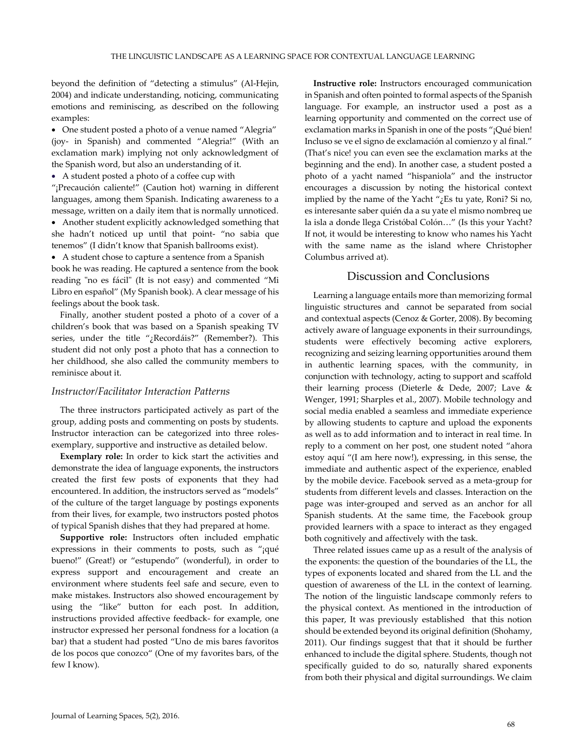beyond the definition of "detecting a stimulus" (Al-Hejin, 2004) and indicate understanding, noticing, communicating emotions and reminiscing, as described on the following examples:

 One student posted a photo of a venue named "Alegria" (joy- in Spanish) and commented "Alegria!" (With an exclamation mark) implying not only acknowledgment of the Spanish word, but also an understanding of it.

A student posted a photo of a coffee cup with

"¡Precaución caliente!" (Caution hot) warning in different languages, among them Spanish. Indicating awareness to a message, written on a daily item that is normally unnoticed.

 Another student explicitly acknowledged something that she hadn't noticed up until that point- "no sabia que tenemos" (I didn't know that Spanish ballrooms exist).

 A student chose to capture a sentence from a Spanish book he was reading. He captured a sentence from the book

reading "no es fácil" (It is not easy) and commented "Mi Libro en español" (My Spanish book). A clear message of his feelings about the book task.

Finally, another student posted a photo of a cover of a children's book that was based on a Spanish speaking TV series, under the title "¿Recordáis?" (Remember?). This student did not only post a photo that has a connection to her childhood, she also called the community members to reminisce about it.

#### *Instructor/Facilitator Interaction Patterns*

The three instructors participated actively as part of the group, adding posts and commenting on posts by students. Instructor interaction can be categorized into three rolesexemplary, supportive and instructive as detailed below.

**Exemplary role:** In order to kick start the activities and demonstrate the idea of language exponents, the instructors created the first few posts of exponents that they had encountered. In addition, the instructors served as "models" of the culture of the target language by postings exponents from their lives, for example, two instructors posted photos of typical Spanish dishes that they had prepared at home.

**Supportive role:** Instructors often included emphatic expressions in their comments to posts, such as "¡qué bueno!" (Great!) or "estupendo" (wonderful), in order to express support and encouragement and create an environment where students feel safe and secure, even to make mistakes. Instructors also showed encouragement by using the "like" button for each post. In addition, instructions provided affective feedback- for example, one instructor expressed her personal fondness for a location (a bar) that a student had posted "Uno de mis bares favoritos de los pocos que conozco" (One of my favorites bars, of the few I know).

**Instructive role:** Instructors encouraged communication in Spanish and often pointed to formal aspects of the Spanish language. For example, an instructor used a post as a learning opportunity and commented on the correct use of exclamation marks in Spanish in one of the posts "¡Qué bien! Incluso se ve el signo de exclamación al comienzo y al final." (That's nice! you can even see the exclamation marks at the beginning and the end). In another case, a student posted a photo of a yacht named "hispaniola" and the instructor encourages a discussion by noting the historical context implied by the name of the Yacht " $i$ Es tu yate, Roni? Si no, es interesante saber quién da a su yate el mismo nombreq ue la isla a donde llega Cristóbal Colón…" (Is this your Yacht? If not, it would be interesting to know who names his Yacht with the same name as the island where Christopher Columbus arrived at).

### Discussion and Conclusions

Learning a language entails more than memorizing formal linguistic structures and cannot be separated from social and contextual aspects (Cenoz & Gorter, 2008). By becoming actively aware of language exponents in their surroundings, students were effectively becoming active explorers, recognizing and seizing learning opportunities around them in authentic learning spaces, with the community, in conjunction with technology, acting to support and scaffold their learning process (Dieterle & Dede, 2007; Lave & Wenger, 1991; Sharples et al., 2007). Mobile technology and social media enabled a seamless and immediate experience by allowing students to capture and upload the exponents as well as to add information and to interact in real time. In reply to a comment on her post, one student noted "ahora estoy aquí "(I am here now!), expressing, in this sense, the immediate and authentic aspect of the experience, enabled by the mobile device. Facebook served as a meta-group for students from different levels and classes. Interaction on the page was inter-grouped and served as an anchor for all Spanish students. At the same time, the Facebook group provided learners with a space to interact as they engaged both cognitively and affectively with the task.

Three related issues came up as a result of the analysis of the exponents: the question of the boundaries of the LL, the types of exponents located and shared from the LL and the question of awareness of the LL in the context of learning. The notion of the linguistic landscape commonly refers to the physical context. As mentioned in the introduction of this paper, It was previously established that this notion should be extended beyond its original definition (Shohamy, 2011). Our findings suggest that that it should be further enhanced to include the digital sphere. Students, though not specifically guided to do so, naturally shared exponents from both their physical and digital surroundings. We claim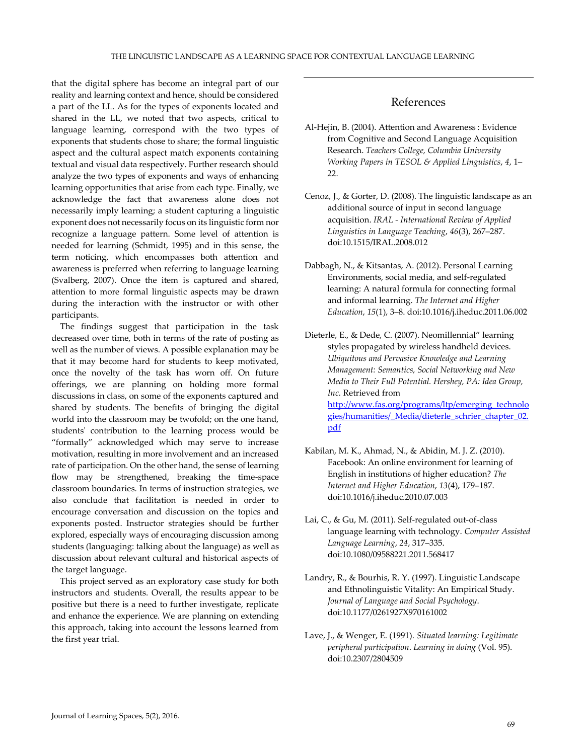that the digital sphere has become an integral part of our reality and learning context and hence, should be considered a part of the LL. As for the types of exponents located and shared in the LL, we noted that two aspects, critical to language learning, correspond with the two types of exponents that students chose to share; the formal linguistic aspect and the cultural aspect match exponents containing textual and visual data respectively. Further research should analyze the two types of exponents and ways of enhancing learning opportunities that arise from each type. Finally, we acknowledge the fact that awareness alone does not necessarily imply learning; a student capturing a linguistic exponent does not necessarily focus on its linguistic form nor recognize a language pattern. Some level of attention is needed for learning (Schmidt, 1995) and in this sense, the term noticing, which encompasses both attention and awareness is preferred when referring to language learning (Svalberg, 2007). Once the item is captured and shared, attention to more formal linguistic aspects may be drawn during the interaction with the instructor or with other participants.

The findings suggest that participation in the task decreased over time, both in terms of the rate of posting as well as the number of views. A possible explanation may be that it may become hard for students to keep motivated, once the novelty of the task has worn off. On future offerings, we are planning on holding more formal discussions in class, on some of the exponents captured and shared by students. The benefits of bringing the digital world into the classroom may be twofold; on the one hand, students' contribution to the learning process would be "formally" acknowledged which may serve to increase motivation, resulting in more involvement and an increased rate of participation. On the other hand, the sense of learning flow may be strengthened, breaking the time-space classroom boundaries. In terms of instruction strategies, we also conclude that facilitation is needed in order to encourage conversation and discussion on the topics and exponents posted. Instructor strategies should be further explored, especially ways of encouraging discussion among students (languaging: talking about the language) as well as discussion about relevant cultural and historical aspects of the target language.

This project served as an exploratory case study for both instructors and students. Overall, the results appear to be positive but there is a need to further investigate, replicate and enhance the experience. We are planning on extending this approach, taking into account the lessons learned from the first year trial.

## References

- Al-Hejin, B. (2004). Attention and Awareness : Evidence from Cognitive and Second Language Acquisition Research. *Teachers College, Columbia University Working Papers in TESOL & Applied Linguistics*, *4*, 1– 22.
- Cenoz, J., & Gorter, D. (2008). The linguistic landscape as an additional source of input in second language acquisition. *IRAL - International Review of Applied Linguistics in Language Teaching*, *46*(3), 267–287. doi:10.1515/IRAL.2008.012
- Dabbagh, N., & Kitsantas, A. (2012). Personal Learning Environments, social media, and self-regulated learning: A natural formula for connecting formal and informal learning. *The Internet and Higher Education*, *15*(1), 3–8. doi:10.1016/j.iheduc.2011.06.002
- Dieterle, E., & Dede, C. (2007). Neomillennial" learning styles propagated by wireless handheld devices. *Ubiquitous and Pervasive Knowledge and Learning Management: Semantics, Social Networking and New Media to Their Full Potential. Hershey, PA: Idea Group, Inc.* Retrieved from [http://www.fas.org/programs/ltp/emerging\\_technolo](http://www.fas.org/programs/ltp/emerging_technologies/humanities/_Media/dieterle_schrier_chapter_02.pdf) [gies/humanities/\\_Media/dieterle\\_schrier\\_chapter\\_02.](http://www.fas.org/programs/ltp/emerging_technologies/humanities/_Media/dieterle_schrier_chapter_02.pdf) [pdf](http://www.fas.org/programs/ltp/emerging_technologies/humanities/_Media/dieterle_schrier_chapter_02.pdf)
- Kabilan, M. K., Ahmad, N., & Abidin, M. J. Z. (2010). Facebook: An online environment for learning of English in institutions of higher education? *The Internet and Higher Education*, *13*(4), 179–187. doi:10.1016/j.iheduc.2010.07.003
- Lai, C., & Gu, M. (2011). Self-regulated out-of-class language learning with technology. *Computer Assisted Language Learning*, *24*, 317–335. doi:10.1080/09588221.2011.568417
- Landry, R., & Bourhis, R. Y. (1997). Linguistic Landscape and Ethnolinguistic Vitality: An Empirical Study. *Journal of Language and Social Psychology*. doi:10.1177/0261927X970161002
- Lave, J., & Wenger, E. (1991). *Situated learning: Legitimate peripheral participation*. *Learning in doing* (Vol. 95). doi:10.2307/2804509